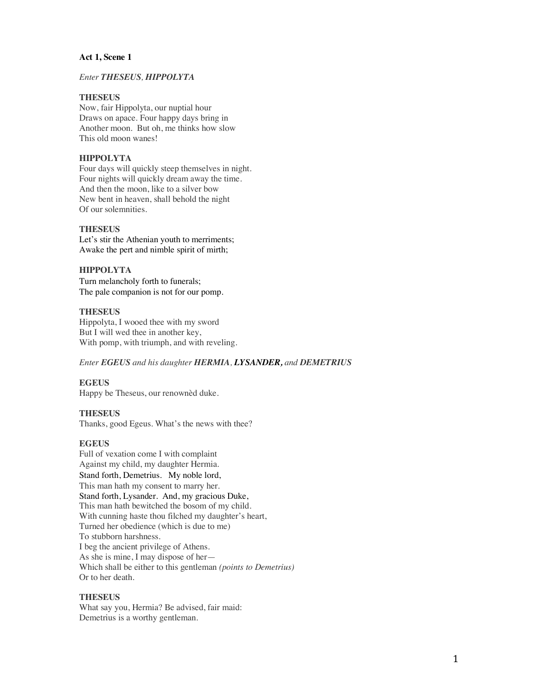### **Act 1, Scene 1**

## *Enter THESEUS, HIPPOLYTA*

## **THESEUS**

Now, fair Hippolyta, our nuptial hour Draws on apace. Four happy days bring in Another moon. But oh, me thinks how slow This old moon wanes!

## **HIPPOLYTA**

Four days will quickly steep themselves in night. Four nights will quickly dream away the time. And then the moon, like to a silver bow New bent in heaven, shall behold the night Of our solemnities.

### **THESEUS**

Let's stir the Athenian youth to merriments; Awake the pert and nimble spirit of mirth;

### **HIPPOLYTA**

Turn melancholy forth to funerals; The pale companion is not for our pomp.

### **THESEUS**

Hippolyta, I wooed thee with my sword But I will wed thee in another key, With pomp, with triumph, and with reveling.

### *Enter EGEUS and his daughter HERMIA, LYSANDER, and DEMETRIUS*

### **EGEUS**

Happy be Theseus, our renownèd duke.

### **THESEUS**

Thanks, good Egeus. What's the news with thee?

### **EGEUS**

Full of vexation come I with complaint Against my child, my daughter Hermia. Stand forth, Demetrius. My noble lord, This man hath my consent to marry her. Stand forth, Lysander. And, my gracious Duke, This man hath bewitched the bosom of my child. With cunning haste thou filched my daughter's heart, Turned her obedience (which is due to me) To stubborn harshness. I beg the ancient privilege of Athens. As she is mine, I may dispose of her— Which shall be either to this gentleman *(points to Demetrius)* Or to her death.

### **THESEUS**

What say you, Hermia? Be advised, fair maid: Demetrius is a worthy gentleman.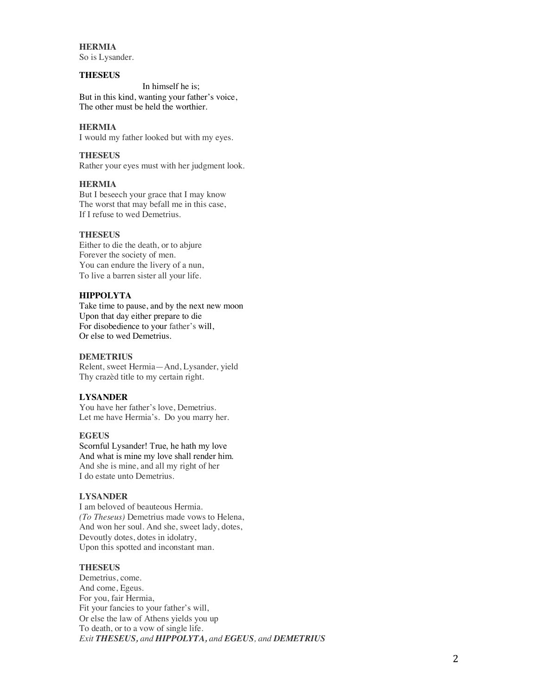**HERMIA** So is Lysander.

### **THESEUS**

In himself he is; But in this kind, wanting your father's voice, The other must be held the worthier.

### **HERMIA**

I would my father looked but with my eyes.

### **THESEUS**

Rather your eyes must with her judgment look.

## **HERMIA**

But I beseech your grace that I may know The worst that may befall me in this case, If I refuse to wed Demetrius.

### **THESEUS**

Either to die the death, or to abjure Forever the society of men. You can endure the livery of a nun, To live a barren sister all your life.

### **HIPPOLYTA**

Take time to pause, and by the next new moon Upon that day either prepare to die For disobedience to your father's will, Or else to wed Demetrius.

### **DEMETRIUS**

Relent, sweet Hermia—And, Lysander, yield Thy crazèd title to my certain right.

## **LYSANDER**

You have her father's love, Demetrius. Let me have Hermia's. Do you marry her.

## **EGEUS**

Scornful Lysander! True, he hath my love And what is mine my love shall render him. And she is mine, and all my right of her I do estate unto Demetrius.

### **LYSANDER**

I am beloved of beauteous Hermia. *(To Theseus)* Demetrius made vows to Helena, And won her soul. And she, sweet lady, dotes, Devoutly dotes, dotes in idolatry, Upon this spotted and inconstant man.

### **THESEUS**

Demetrius, come. And come, Egeus. For you, fair Hermia, Fit your fancies to your father's will, Or else the law of Athens yields you up To death, or to a vow of single life. *Exit THESEUS, and HIPPOLYTA, and EGEUS, and DEMETRIUS*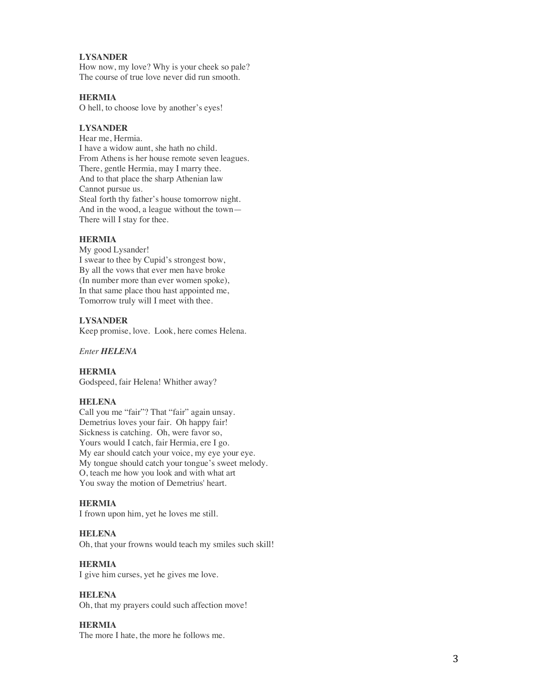### **LYSANDER**

How now, my love? Why is your cheek so pale? The course of true love never did run smooth.

## **HERMIA**

O hell, to choose love by another's eyes!

### **LYSANDER**

Hear me, Hermia. I have a widow aunt, she hath no child. From Athens is her house remote seven leagues. There, gentle Hermia, may I marry thee. And to that place the sharp Athenian law Cannot pursue us. Steal forth thy father's house tomorrow night. And in the wood, a league without the town — There will I stay for thee.

### **HERMIA**

My good Lysander! I swear to thee by Cupid's strongest bow, By all the vows that ever men have broke (In number more than ever women spoke) , In that same place thou hast appointed me, Tomorrow truly will I meet with thee.

## **LYSANDER**

Keep promise, love. Look, here comes Helena.

### *Enter HELENA*

**HERMI A** Godspeed, fair Helena! Whither away?

### **HELENA**

Call you me "fair"? That "fair" again unsay. Demetrius loves your fair. Oh happy fair! Sickness is catching. Oh, were favor so, Yours would I catch, fair Hermia, ere I go. My ear should catch your voice, my eye your eye. My tongue should catch your tongue's sweet melody. O, teach me how you look and with what art You sway the motion of Demetrius' heart.

### **HERMIA**

I frown upon him, yet he loves me still.

### **HELENA**

Oh, that your frowns would teach my smiles such skill!

## **HERMIA**

I give him curses, yet he gives me love.

## **HELENA**

Oh, that my prayers could such affection move!

### **HERMIA**

The more I hate, the more he follows me.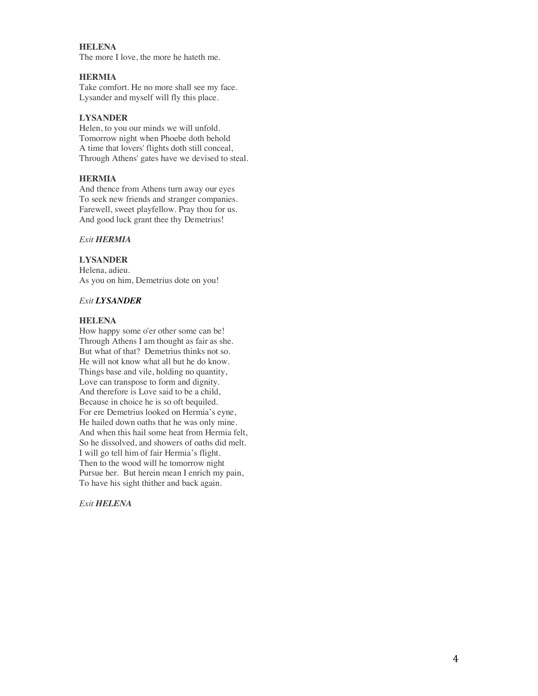## **HELENA**

The more I love, the more he hateth me.

### **HERMIA**

Take comfort. He no more shall see my face. Lysander and myself will fly this place.

## **LYSANDER**

Helen, to you our minds we will unfold. Tomorrow night when Phoebe doth behold A time that lovers' flights doth still conceal, Through Athens' gates have we devised to steal.

### **HERMIA**

And thence from Athens turn away our eyes To seek new friends and stranger companies. Farewell, sweet playfellow. Pray thou for us. And good luck grant thee thy Demetrius!

### *Exit HERMIA*

## **LYSANDER**

Helena, adieu. As you on him, Demetrius dote on you!

## *Exit LYSANDER*

### **HELENA**

How happy some o'er other some can be! Through Athens I am thought as fair as she. But what of that? Demetrius thinks not so. He will not know what all but he do know. Things base and vile, holding no quantity, Love can transpose to form and dignity. And therefore is Love said to be a child, Because in choice he is so oft bequiled. For ere Demetrius looked on Hermia's eyne, He hailed down oaths that he was only mine. And when this hail some heat from Hermia felt, So he dissolved, and showers of oaths did melt. I will go tell him of fair Hermia's flight. Then to the wood will he tomorrow night Pursue her. But herein mean I enrich my pain, To have his sight thither and back again.

*Exit HELENA*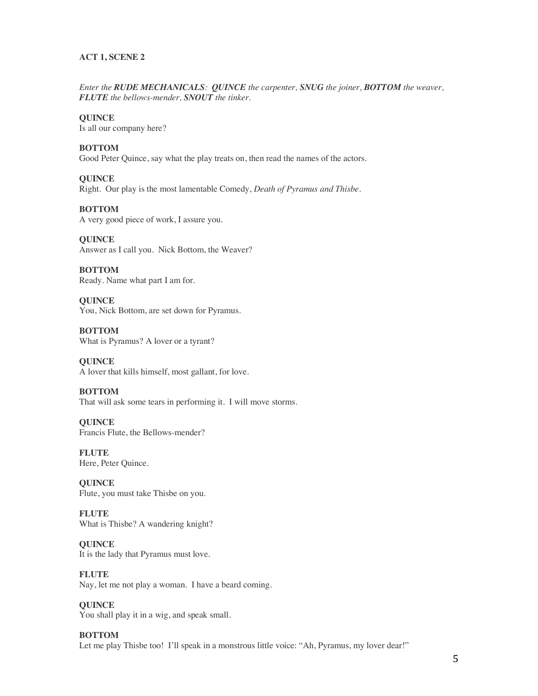## **ACT 1, SCENE 2**

*Enter the RUDE MECHANICALS: QUINCE the carpenter, SNUG the joiner, BOTTOM the weaver, FLUTE the bellows-mender, SNOUT the tinker.*

**QUINCE** Is all our company here?

**BOTTOM**

Good Peter Quince, say what the play treats on, then read the names of the actors.

**QUINCE** Right. Our play is the most lamentable Comedy, *Death of Pyramus and Thisbe*.

**BOTTOM** A very good piece of work, I assure you.

**QUINCE** Answer as I call you. Nick Bottom, the Weaver?

**BOTTOM** Ready. Name what part I am for.

**QUINCE** You, Nick Bottom, are set down for Pyramus.

**BOTTOM** What is Pyramus? A lover or a tyrant?

**QUINCE** A lover that kills himself, most gallant, for love.

**BOTTOM** That will ask some tears in performing it. I will move storms.

**QUINCE** Francis Flute, the Bellows-mender?

**FLUTE** Here, Peter Quince.

**QUINCE** Flute, you must take Thisbe on you.

**FLUTE** What is Thisbe? A wandering knight?

**QUINCE** It is the lady that Pyramus must love.

**FLUTE** Nay, let me not play a woman. I have a beard coming.

**QUINCE** You shall play it in a wig, and speak small.

**BOTTOM** Let me play Thisbe too! I'll speak in a monstrous little voice: "Ah, Pyramus, my lover dear!"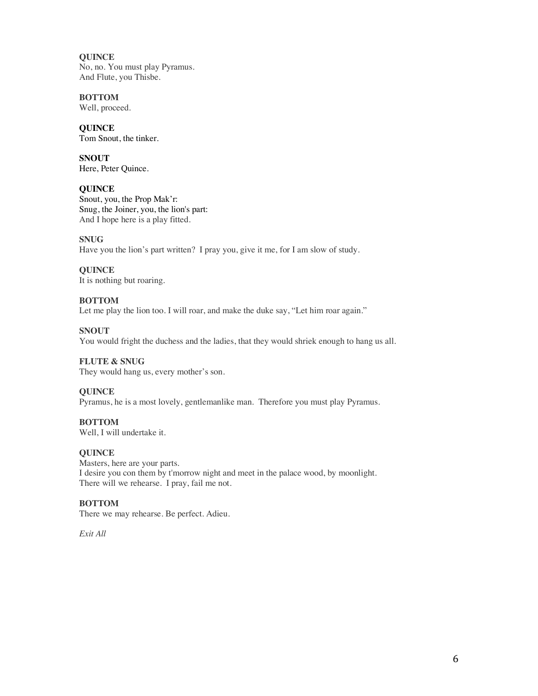**QUINCE** No, no. You must play Pyramus. And Flute, you Thisbe.

**BOTTOM** Well, proceed.

**QUINCE** Tom Snout, the tinker.

**SNOUT** Here, Peter Quince.

## **QUINCE**

Snout, you, the Prop Mak'r: Snug, the Joiner, you, the lion's part: And I hope here is a play fitted.

## **SNUG**

Have you the lion's part written? I pray you, give it me, for I am slow of study.

## **QUINCE**

It is nothing but roaring.

## **BOTTOM**

Let me play the lion too. I will roar, and make the duke say, "Let him roar again."

## **SNOUT**

You would fright the duchess and the ladies, that they would shriek enough to hang us all.

## **FLUTE & SNUG**

They would hang us, every mother's son.

## **QUINCE**

Pyramus, he is a most lovely, gentlemanlike man. Therefore you must play Pyramus.

## **BOTTOM**

Well, I will undertake it.

## **QUINCE**

Masters, here are your parts. I desire you con them by t'morrow night and meet in the palace wood, by moonlight. There will we rehearse. I pray, fail me not.

## **BOTTOM**

There we may rehearse. Be perfect. Adieu.

*Exit All*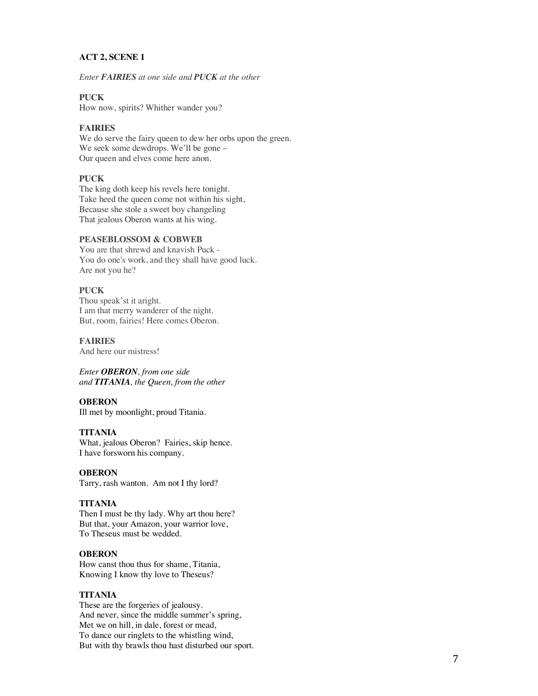## **ACT 2, SCENE 1**

*Enter FAIRIES at one side and PUCK at the other* 

## **PUCK**

How now, spirits? Whither wander you?

## **FAIRIES**

We do serve the fairy queen to dew her orbs upon the green. We seek some dewdrops. We'll be gone – Our queen and elves come here anon.

### **PUCK**

The king doth keep his revels here tonight. Take heed the queen come not within his sight, Because she stole a sweet boy changeling That jealous Oberon wants at his wing.

### **PEASEBLOSSOM & COBWEB**

You are that shrewd and knavish Puck - You do one's work, and they shall have good luck. Are not you he?

## **PUCK**

Thou speak'st it aright. I am that merry wanderer of the night. But, room, fairies! Here comes Oberon.

#### **FAIRIES**

And here our mistress!

*Enter OBERON, from one side and TITANIA, the Queen, from the other*

## **OBERON**

Ill met by moonlight, proud Titania.

### **TITANIA**

What, jealous Oberon? Fairies, skip hence. I have forsworn his company.

#### **OBERON**

Tarry, rash wanton. Am not I thy lord?

## **TITANIA**

Then I must be thy lady. Why art thou here? But that, your Amazon, your warrior love, To Theseus must be wedded.

#### **OBERON**

How canst thou thus for shame, Titania, Knowing I know thy love to Theseus?

### **TITANIA**

These are the forgeries of jealousy. And never, since the middle summer's spring, Met we on hill, in dale, forest or mead, To dance our ringlets to the whistling wind, But with thy brawls thou hast disturbed our sport.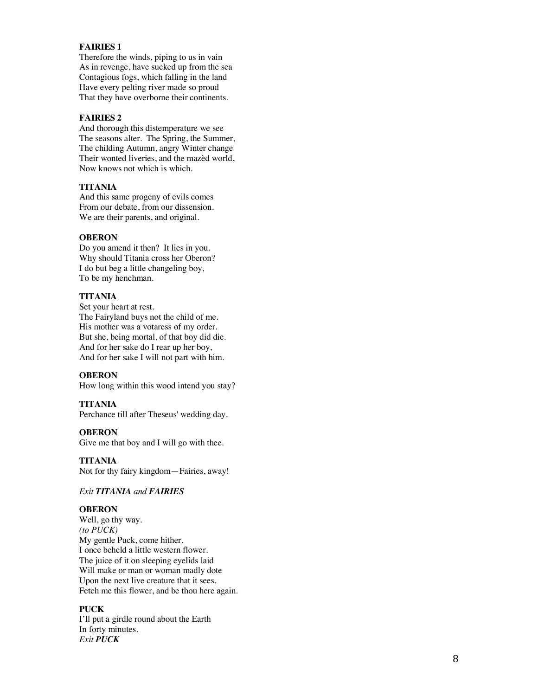### **FAIRIES 1**

Therefore the winds, piping to us in vain As in revenge, have sucked up from the sea Contagious fogs, which falling in the lan d Have every pelting river made so proud That they have overborne their continents.

### **FAIRIES 2**

And thorough this distemperature we see The seasons alter. The Spring, the Summer, The childing Autumn, angry Winter change Their wonted liveries, and the mazèd world, Now knows not which is which.

### **TITANIA**

And this same progeny of evils comes From our debate, from our dissension. We are their parents, and original.

### **OBERON**

Do you amend it then? It lies in you. Why should Titania cross her Oberon? I do but beg a little changeling boy, To be my henchman.

### **TITANIA**

Set your heart at rest. The Fairyland buys not the child of me. His mother was a votaress of my order. But she, being mortal, of that boy did die. And for her sake do I rear up her boy, And for her sake I will not part with him.

### **OBERON**

How long within this wood intend you stay?

### **TITANIA**

Perchance till after Theseus' wedding day.

### **OBERON**

Give me that boy and I will go with thee.

**TITANIA** Not for thy fairy kingdom —Fairies, away!

### *Exit TITANIA and FAIRIES*

### **OBERON**

Well, go thy way. *(to PUCK)* My gentle Puck, come hither. I once beheld a little western flower . The juice of it on sleeping eyelids laid Will make or man or woman madly dote Upon the next live creature that it sees. Fetch me this flower, and be thou here again .

## **PUCK**

I'll put a girdle round about the Earth In forty minutes. *Exit PUCK*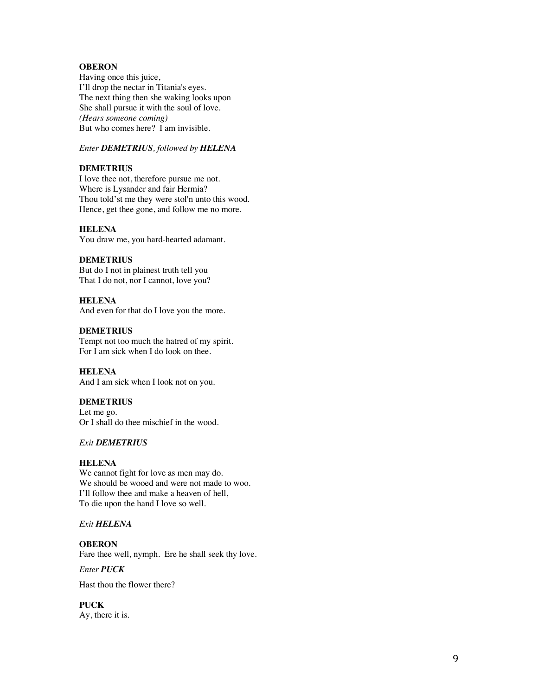## **OBERON**

Having once this juice, I'll drop the nectar in Titania's eyes. The next thing then she waking looks upon She shall pursue it with the soul of love. *(Hears someone coming)* But who comes here? I am invisible.

## *Enter DEMETRIUS, followed by HELENA*

## **DEMETRIUS**

I love thee not, therefore pursue me not. Where is Lysander and fair Hermia? Thou told'st me they were stol'n unto this wood. Hence, get thee gone, and follow me no more.

#### **HELENA**

You draw me, you hard -hearted adamant.

### **DEMETRIUS**

But do I not in plainest truth tell you That I do not, nor I cannot, love you?

#### **HELENA**

And even for that do I love you the more.

#### **DEMETRIUS**

Tempt not too much the hatred of my spirit. For I am sick when I do look on thee.

### **HELENA**

And I am sick when I look not on you.

### **DEMETRIUS**

Let me go. Or I shall do thee mischief in the wood.

### *Exit DEMETRIUS*

#### **HELENA**

We cannot fight for love as men may do. We should be wooed and were not made to woo. I'll follow thee and make a heaven of hell, To die upon the hand I love so well.

## *Exit HELENA*

# **OBERON**

Fare thee well, nymph. Ere he shall seek thy love.

*Enter PUCK* 

Hast thou the flower there?

## **PUCK**

Ay, there it is.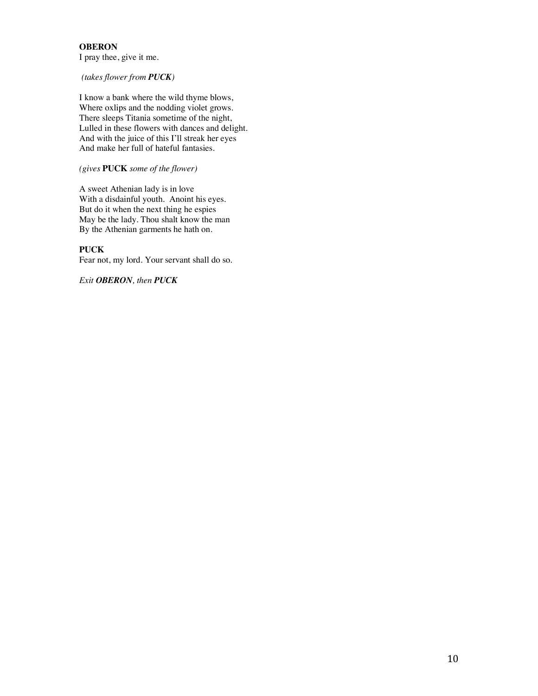## **OBERON**

I pray thee, give it me.

*(takes flower from PUCK)*

I know a bank where the wild thyme blows, Where oxlips and the nodding violet grows. There sleeps Titania sometime of the night, Lulled in these flowers with dances and delight. And with the juice of this I'll streak her eyes And make her full of hateful fantasies.

*(gives* **PUCK** *some of the flower)*

A sweet Athenian lady is in love With a disdainful youth. Anoint his eyes. But do it when the next thing he espies May be the lady. Thou shalt know the man By the Athenian garments he hath on.

## **PUCK**

Fear not, my lord. Your servant shall do so.

*Exit OBERON, then PUCK*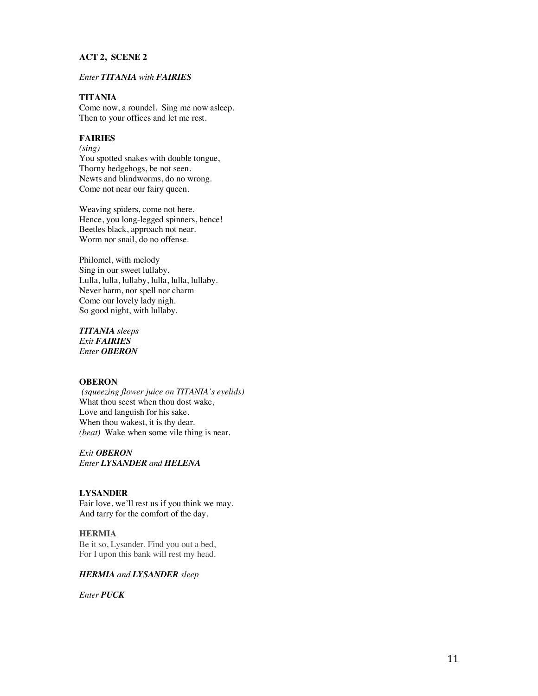## **ACT 2, SCENE 2**

## *Enter TITANIA with FAIRIES*

## **TITANIA**

Come now, a roundel. Sing me now asleep. Then to your offices and let me rest.

## **FAIRIES**

*(sing)*

You spotted snakes with double tongue, Thorny hedgehogs, be not seen. Newts and blindworms, do no wrong. Come not near our fairy queen.

Weaving spiders, come not here. Hence, you long -legged spinners, hence! Beetles black, approach not near. Worm nor snail, do no offense.

Philomel, with melody Sing in our sweet lullaby. Lulla, lulla, lullaby, lulla, lulla, lullaby. Never harm, nor spell nor charm Come our lovely lady nigh. So good night, with lullaby.

*TITANIA sleeps Exit FAIRIES Enter OBERON*

## **OBERON**

*(squeezing flower juice on TITANIA's eyelids)*  What thou seest when thou dost wake, Love and languish for his sake. When thou wakest, it is thy dear. *(beat)* Wake when some vile thing is near .

*Exit OBERON Enter LYSANDER and HELENA*

## **LYSANDER**

Fair love, we'll rest us if you think we may . And tarry for the comfort of the day.

### **HERMIA**

Be it so, Lysander. Find you out a bed,<br>For I upon this bank will rest my head.

### **HERMIA** and **LYSANDER** sleep

*Enter PUCK*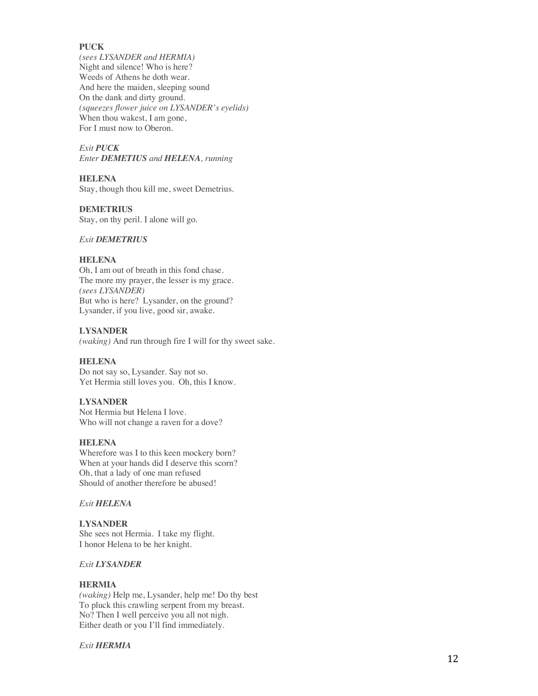### **PUCK**

*(sees LYSANDER and HERMIA)*  Night and silence! Who is here? Weeds of Athens he doth wear. And here the maiden, sleeping sound On the dank and dirty ground. *(squeezes flower juice on LYSANDER's eyelids)* When thou wakest, I am gone, For I must now to Oberon.

## *Exit PUCK*

*Enter DEMETIUS and HELENA, running*

## **HELENA**

Stay, though thou kill me, sweet Demetrius.

## **DEMETRIUS**

Stay, on thy peril. I alone will go.

## *Exit DEMETRIUS*

### **HELENA**

Oh, I am out of breath in this fond chase. The more my prayer, the lesser is my grace . *(sees LYSANDER)*  But who is here? Lysander, on the ground? Lysander, if you live, good sir, awake.

## **LYSANDER**

*(waking)* And run through fire I will for thy sweet sake.

## **HELENA**

Do not say so, Lysander. Say not so. Yet Hermia still loves you. Oh, this I know.

## **LYSANDER**

Not Hermia but Helena I love. Who will not change a raven for a dove?

## **HELENA**

Wherefore was I to this keen mockery born? When at your hands did I deserve this scorn? Oh, that a lady of one man refused Should of another therefore be abused!

## *Exit HELENA*

## **LYSANDER**

She sees not Hermia . I take my flight . I honor Helen a to be her knight.

### *Exit LYSANDER*

## **HERMIA**

*(waking)* Help me, Lysander, help me! Do thy best To pluck this crawling serpent from my breast. No? Then I well perceive you all not nigh. Either death or you I'll find immediately.

## *Exit HERMIA*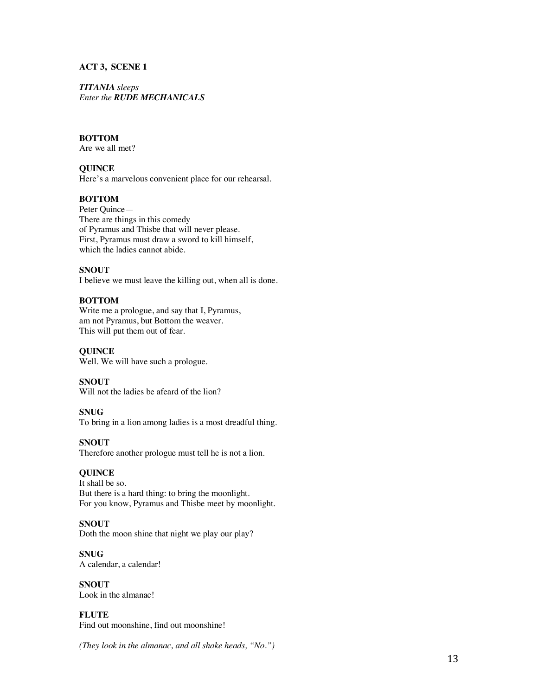### **ACT 3, SCENE 1**

### *TITANIA sleeps Enter the RUDE MECHANICALS*

## **BOTTOM**

Are we all met?

## **QUINCE**

Here's a marvelous convenient place for our rehearsal.

## **BOTTOM**

Peter Quince— There are things in this comedy of Pyramus and Thisbe that will never please. First, Pyramus must draw a sword to kill himself, which the ladies cannot abide.

### **SNOUT**

I believe we must leave the killing out, when all is done.

## **BOTTOM**

Write me a prologue, and say that I, Pyramus, am not Pyramus, but Bottom the weaver. This will put them out of fear.

#### **QUINCE**

Well. We will have such a prologue.

### **SNOUT**

Will not the ladies be afeard of the lion?

### **SNUG**

To bring in a lion among ladies is a most dreadful thing.

#### **SNOUT**

Therefore another prologue must tell he is not a lion.

### **QUINCE**

It shall be so. But there is a hard thing: to bring the moonlight. For you know, Pyramus and Thisbe meet by moonlight.

## **SNOUT**

Doth the moon shine that night we play our play?

## **SNUG**

A calendar, a calendar!

**SNOUT** Look in the almanac!

**FLUTE** Find out moonshine, find out moonshine!

*(They look in the almanac, and all shake heads, "No.")*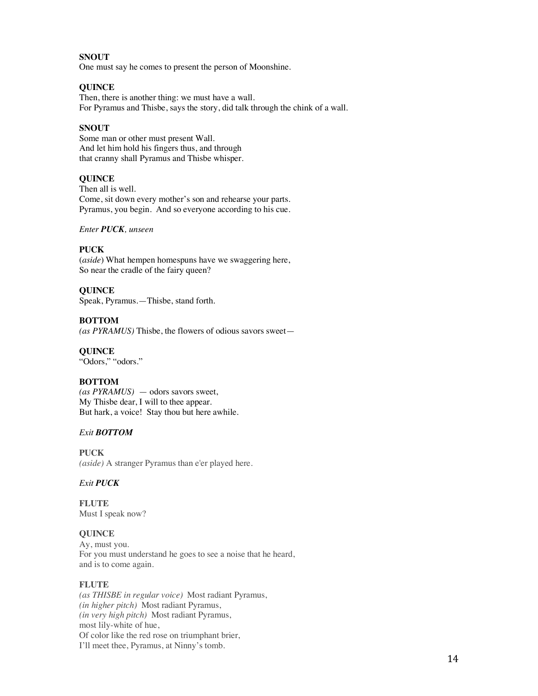## **SNOUT**

One must say he comes to present the person of Moonshine.

## **QUINCE**

Then, there is another thing: we must have a wall. For Pyramus and Thisbe, says the story, did talk through the chink of a wall.

## **SNOUT**

Some man or other must present Wall. And let him hold his fingers thus, and through that cranny shall Pyramus and Thisbe whisper.

## **QUINCE**

Then all is well. Come, sit down every mother's son and rehearse your parts. Pyramus, you begin. And so everyone according to his cue.

### *Enter PUCK, unseen*

## **PUCK**

(*aside*) What hempen homespuns have we swaggering here, So near the cradle of the fairy queen?

## **QUINCE**

Speak, Pyramus.—Thisbe, stand forth.

## **BOTTOM**

*(as PYRAMUS)* Thisbe, the flowers of odious savors sweet—

## **QUINCE**

"Odors," "odors."

## **BOTTOM**

*(as PYRAMUS)* — odors savors sweet, My Thisbe dear, I will to thee appear. But hark, a voice! Stay thou but here awhile.

## *Exit BOTTOM*

**PUCK** *(aside)* A stranger Pyramus than e'er played here.

## *Exit PUCK*

**FLUTE** Must I speak now?

## **QUINCE**

Ay, must you. For you must understand he goes to see a noise that he heard, and is to come again.

## **FLUTE**

*(as THISBE in regular voice)* Most radiant Pyramus, *(in higher pitch)* Most radiant Pyramus, *(in very high pitch)* Most radiant Pyramus, most lily-white of hue, Of color like the red rose on triumphant brier, I'll meet thee, Pyramus, at Ninny's tomb.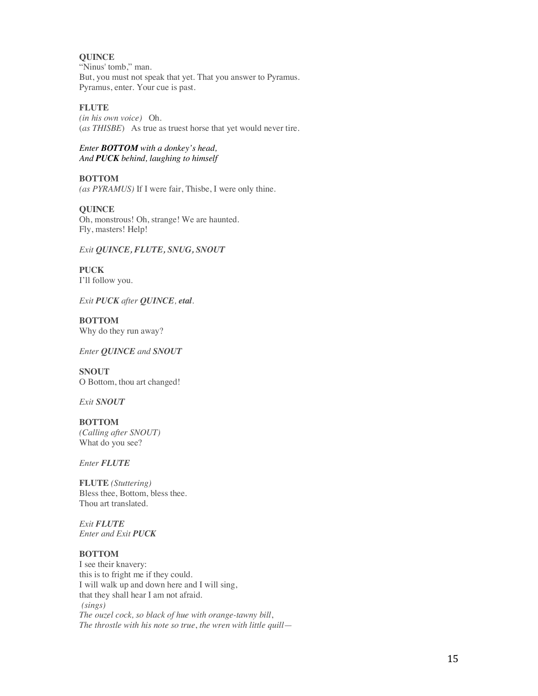### **QUINCE**

"Ninus' tomb," man. But, you must not speak that yet. That you answer to Pyramus. Pyramus, enter. Your cue is past.

## **FLUTE**

*(in his own voice)* Oh. (*as THISBE*) As true as truest horse that yet would never tire.

### *Enter BOTTOM with a donkey's head, And PUCK behind, laughing to himself*

**BOTTOM** *(as PYRAMUS)* If I were fair, Thisbe, I were only thine.

## **QUINCE** Oh, monstrous! Oh, strange! We are haunted. Fly, masters! Help!

## *Exit QUINCE, FLUTE, SNUG, SNOUT*

**PUCK** I'll follow you.

*Exit PUCK after QUINCE, etal.* 

**BOTTOM** Why do they run away?

*Enter QUINCE and SNOUT*

**SNOUT** O Bottom, thou art changed!

*Exit SNOUT* 

# **BOTTOM**

*(Calling after SNOUT)* What do you see?

*Enter FLUTE*

**FLUTE** *(Stuttering)* Bless thee, Bottom, bless thee. Thou art translated.

*Exit FLUTE Enter and Exit PUCK*

## **BOTTOM**

I see their knavery: this is to fright me if they could. I will walk up and down here and I will sing, that they shall hear I am not afraid. *(sings) The ouzel cock, so black of hue with orange-tawny bill*, *The throstle with his note so true*, *the wren with little quill*—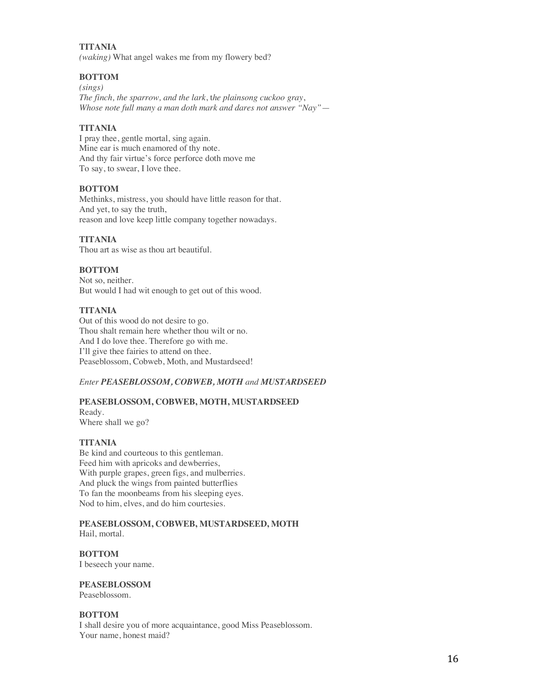**TITANIA**  *(waking)* What angel wakes me from my flowery bed?

## **BOTTOM**

*(sings) The finch, the sparrow, and the lark*, t*he plainsong cuckoo gray*, *Whose note full many a man doth mark and dares not answer "Nay"*—

## **TITANIA**

I pray thee, gentle mortal, sing again. Mine ear is much enamored of thy note. And thy fair virtue's force perforce doth move me To say, to swear, I love thee.

## **BOTTOM**

Methinks, mistress, you should have little reason for that. And yet, to say the truth, reason and love keep little company together nowadays.

## **TITANIA**

Thou art as wise as thou art beautiful.

## **BOTTOM**

Not so, neither. But would I had wit enough to get out of this wood.

## **TITANIA**

Out of this wood do not desire to go. Thou shalt remain here whether thou wilt or no. And I do love thee. Therefore go with me. I'll give thee fairies to attend on thee. Peaseblossom, Cobweb, Moth, and Mustardseed!

## *Enter PEASEBLOSSOM, COBWEB, MOTH and MUSTARDSEED*

## **PEASEBLOSSOM, COBWEB, MOTH, MUSTARDSEED**

Ready. Where shall we go?

## **TITANIA**

Be kind and courteous to this gentleman. Feed him with apricoks and dewberries, With purple grapes, green figs, and mulberries. And pluck the wings from painted butterflies To fan the moonbeams from his sleeping eyes. Nod to him, elves, and do him courtesies.

#### **PEASEBLOSSOM, COBWEB, MUSTARDSEED, MOTH** Hail, mortal.

**BOTTOM** I beseech your name.

**PEASEBLOSSOM** Peaseblossom.

## **BOTTOM**

I shall desire you of more acquaintance, good Miss Peaseblossom. Your name, honest maid?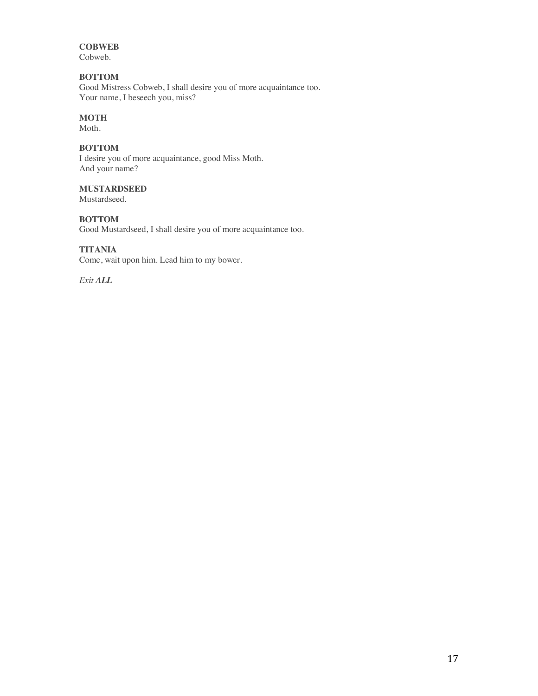# **COBWEB**

Cobweb.

## **BOTTOM**

Good Mistress Cobweb, I shall desire you of more acquaintance too. Your name, I beseech you, miss?

## **MOTH**

Moth.

## **BOTTOM**

I desire you of more acquaintance, good Miss Moth. And your name?

## **MUSTARDSEED**

Mustardseed*.*

## **BOTTOM**

Good Mustardseed, I shall desire you of more acquaintance too.

## **TITANIA**

Come, wait upon him. Lead him to my bower.

*Exit ALL*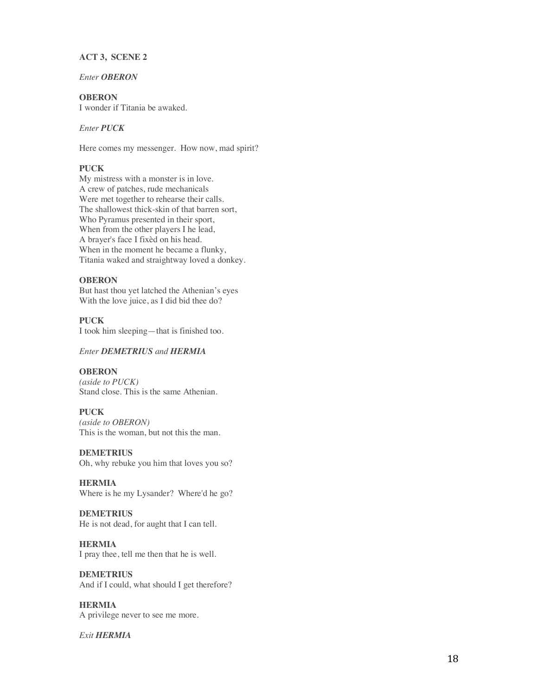### **ACT 3, SCENE 2**

*Enter OBERON*

## **OBERON**

I wonder if Titania be awaked.

## *Enter PUCK*

Here comes my messenger. How now, mad spirit?

## **PUCK**

My mistress with a monster is in love. A crew of patches, rude mechanicals Were met together to rehearse their calls. The shallowest thick-skin of that barren sort, Who Pyramus presented in their sport, When from the other players I he lead, A brayer's face I fixèd on his head. When in the moment he became a flunky, Titania waked and straightway loved a donkey.

### **OBERON**

But hast thou yet latched the Athenian's eyes With the love juice, as I did bid thee do?

## **PUCK**

I took him sleeping—that is finished too.

### *Enter DEMETRIUS and HERMIA*

### **OBERON**

*(aside to PUCK)* Stand close. This is the same Athenian.

### **PUCK**

*(aside to OBERON)* This is the woman, but not this the man.

**DEMETRIUS**

Oh, why rebuke you him that loves you so?

**HERMIA** Where is he my Lysander? Where'd he go?

#### **DEMETRIUS**

He is not dead, for aught that I can tell.

## **HERMIA**

I pray thee, tell me then that he is well.

## **DEMETRIUS**

And if I could, what should I get therefore?

### **HERMIA**

A privilege never to see me more.

### *Exit HERMIA*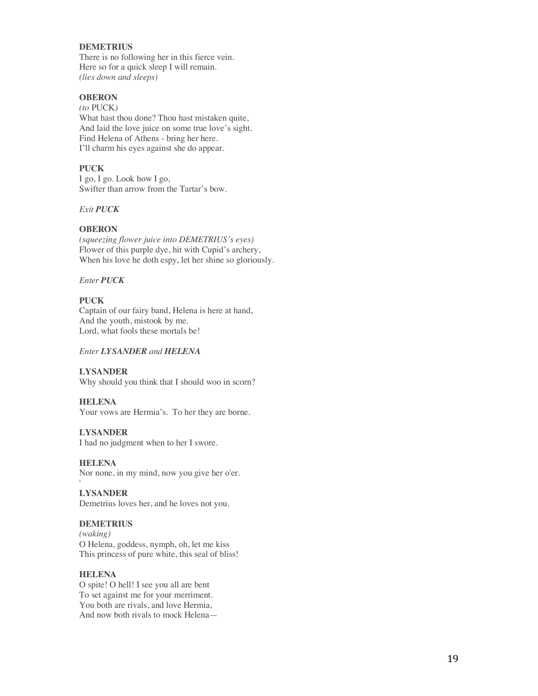### **DEMETRIUS**

There is no following her in this fierce vein. Here so for a quick sleep I will remain. *(lies down and sleeps)*

## **OBERON**

*(to* PUCK*)* What hast thou done? Thou hast mistaken quite, And laid the love juice on some true love's sight. Find Helena of Athens - bring her here. I'll charm his eyes against she do appear.

### **PUCK**

I go, I go. Look how I go, Swifter than arrow from the Tartar's bow.

## *Exit PUCK*

### **OBERON**

*(squeezing flower juice into DEMETRIUS's eyes)* Flower of this purple dye, hit with Cupid's archery, When his love he doth espy, let her shine so gloriously.

## *Enter PUCK*

## **PUCK**

Captain of our fairy band, Helena is here at hand, And the youth, mistook by me. Lord, what fools these mortals be!

#### *Enter LYSANDER and HELENA*

### **LYSANDER**

Why should you think that I should woo in scorn?

### **HELENA**

Your vows are Hermia's. To her they are borne.

### **LYSANDER**

I had no judgment when to her I swore.

#### **HELENA**

Nor none, in my mind, now you give her o'er.

### **LYSANDER**

Demetrius loves her, and he loves not you.

## **DEMETRIUS**

*(waking)* O Helena, goddess, nymph, oh, let me kiss This princess of pure white, this seal of bliss!

### **HELENA**

O spite! O hell! I see you all are bent To set against me for your merriment. You both are rivals, and love Hermia, And now both rivals to mock Helena—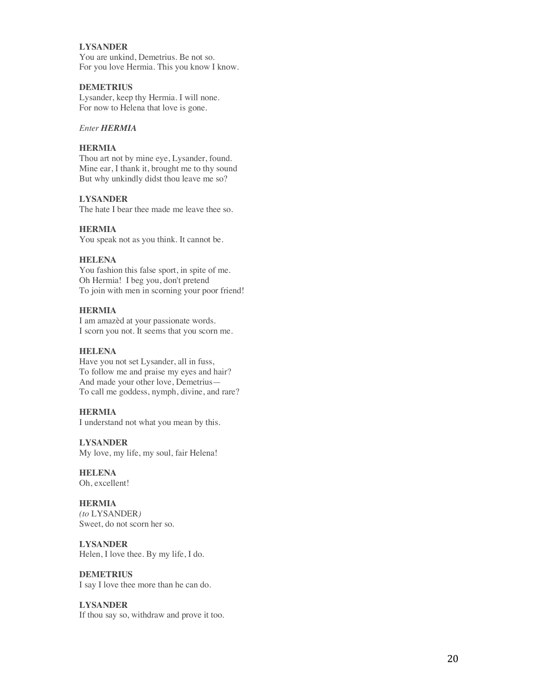### **LYSANDER**

You are unkind, Demetrius. Be not so. For you love Hermia. This you know I know.

## **DEMETRIUS**

Lysander, keep thy Hermia. I will none. For now to Helena that love is gone.

### *Enter HERMIA*

## **HERMIA**

Thou art not by mine eye, Lysander, found. Mine ear, I thank it, brought me to thy sound But why unkindly didst thou leave me so?

## **LYSANDER**

The hate I bear thee made me leave thee so.

#### **HERMIA**

You speak not as you think. It cannot be.

### **HELENA**

You fashion this false sport, in spite of me. Oh Hermia! I beg you , don't pretend To join with men in scorning your poor friend!

### **HERMIA**

I am amazèd at your passionate words. I scorn you not. It seems that you scorn me.

### **HELENA**

Have you not set Lysander, all in fuss , To follow me and praise my eyes and hair ? And made your other love, Demetrius — To call me goddess, nymph, divine, and rare?

## **HERMIA**

I understand not what you mean by this.

**LYSANDER** My love, my life, my soul, fair Helena!

### **HELENA**

Oh, excellent!

### **HERMIA**

*(to* LYSANDER *)* Sweet, do not scorn her so.

#### **LYSANDER**

Helen, I love thee. By my life, I do.

#### **DEMETRIUS**

I say I love thee more than he can do.

### **LYSANDER**

If thou say so, withdraw and prove it too.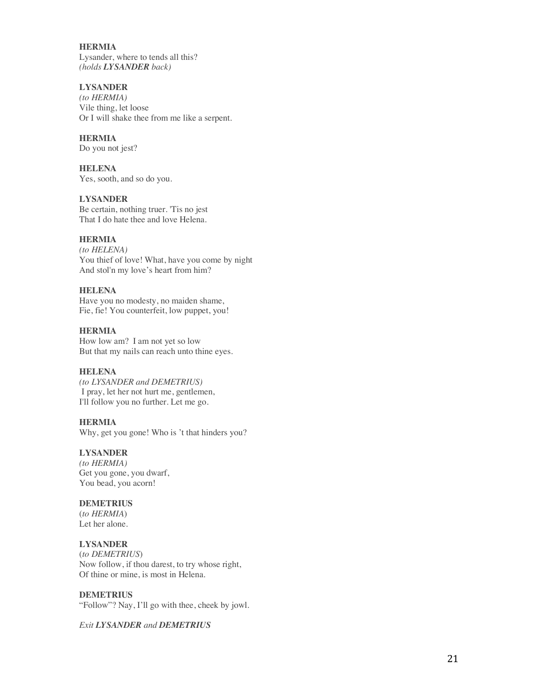### **HERMIA** Lysander, where to tends all this? *(holds LYSANDER back)*

## **LYSANDER**

*(to HERMIA )* Vile thing, let loose Or I will shake thee from me like a serpent.

## **HERMIA**

Do you not jest?

### **HELENA**

Yes, sooth, and so do you .

## **LYSANDER**

Be certain, nothing truer. 'Tis no jest That I do hate thee and love Helena.

## **HERMIA**

*(to HELENA)* You thief of love! What, have you come by night And stol'n my love's heart from him?

## **HELENA**

Have you no modesty, no maiden shame, Fie, fie! You counterfeit, low puppet, you!

## **HERMIA**

How low am? I am not yet so low But that my nails can reach unto thine eyes.

## **HELENA**

*(to LYSANDER and DEMETRIUS)* I pray, let her not hurt me, gentlemen, I'll follow you no further. Let me go.

## **HERMIA**

Why, get you gone! Who is 't that hinders you?

## **LYSANDER**

*(to HERMIA)* Get you gone, you dwarf, You bead, you acorn!

## **DEMETRIUS**

(*to HERMIA*) Let her alone.

## **LYSANDER**

(*to DEMETRIUS*) Now follow, if thou darest, to try whose right, Of thine or mine, is most in Helena.

## **DEMETRIUS**

"Follow"? Nay, I'll go with thee, cheek by jowl.

## *Exit LYSANDER and DEMETRIUS*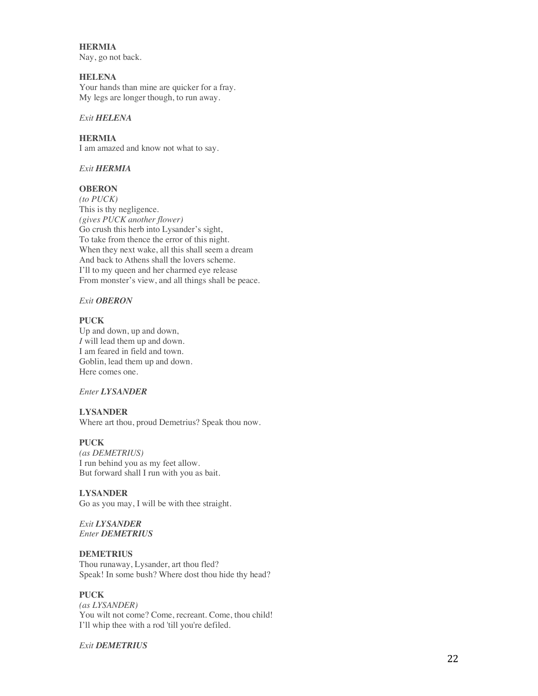### **HERMIA**

Nay, go not back.

## **HELENA**

Your hands than mine are quicker for a fray. My legs are longer though, to run away.

### *Exit HELENA*

### **HERMIA**

I am amazed and know not what to say.

## *Exit HERMIA*

## **OBERON**

*(to PUCK)* This is thy negligence. *(gives PUCK another flower)* Go crush this herb into Lysander's sight, To take from thence the error of this night. When they next wake, all this shall seem a dream And back to Athens shall the lovers scheme. I'll to my queen and her charmed eye release From monster's view, and all things shall be peace.

## *Exit OBERON*

### **PUCK**

Up and down, up and down, *I* will lead them up and down. I am feared in field and town. Goblin, lead them up and down. Here comes one.

## *Enter LYSANDER*

## **LYSANDER**

Where art thou, proud Demetrius? Speak thou now.

### **PUCK**

*(as DEMETRIUS)* I run behind you as my feet allow. But forward shall I run with you as bait.

### **LYSANDER**

Go as you may, I will be with thee straight.

### *Exit LYSANDER Enter DEMETRIUS*

### **DEMETRIUS**

Thou runaway, Lysander, art thou fled? Speak! In some bush? Where dost thou hide thy head?

## **PUCK**

*(as LYSANDER)* You wilt not come? Come, recreant. Come, thou child! I'll whip thee with a rod 'till you're defiled.

### *Exit DEMETRIUS*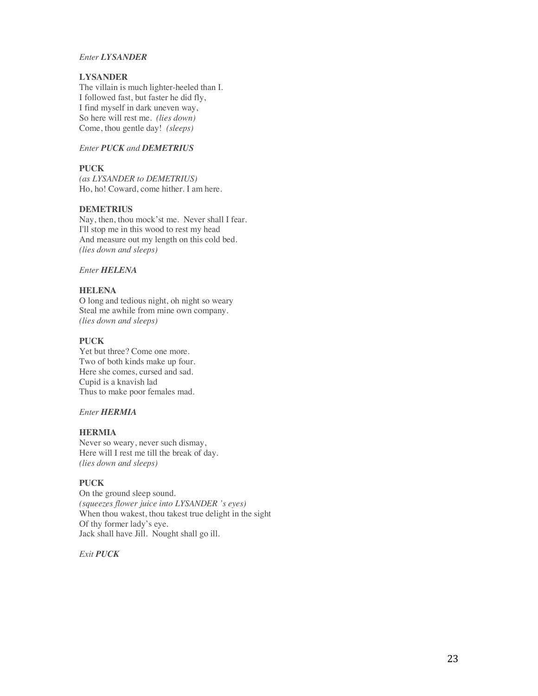### *Enter LYSANDER*

## **LYSANDER**

The villain is much lighter-heeled than I. I followed fast, but faster he did fly, I find myself in dark uneven way, So here will rest me. *(lies down)* Come, thou gentle day! *(sleeps)*

## *Enter PUCK and DEMETRIUS*

## **PUCK**

*(as LYSANDER to DEMETRIUS)* Ho, ho! Coward, come hither. I am here.

### **DEMETRIUS**

Nay, then, thou mock'st me. Never shall I fear. I'll stop me in this wood to rest my head And measure out my length on this cold bed. *(lies down and sleeps)*

*Enter HELENA*

## **HELENA**

O long and tedious night, oh night so weary Steal me awhile from mine own company. *(lies down and sleeps)*

### **PUCK**

Yet but three? Come one more. Two of both kinds make up four. Here she comes, cursed and sad. Cupid is a knavish lad Thus to make poor females mad.

## *Enter HERMIA*

### **HERMIA**

Never so weary, never such dismay, Here will I rest me till the break of day. *(lies down and sleeps)*

### **PUCK**

On the ground sleep sound. *(squeezes flower juice into LYSANDER 's eyes)* When thou wakest, thou takest true delight in the sight Of thy former lady's eye. Jack shall have Jill. Nought shall go ill.

*Exit PUCK*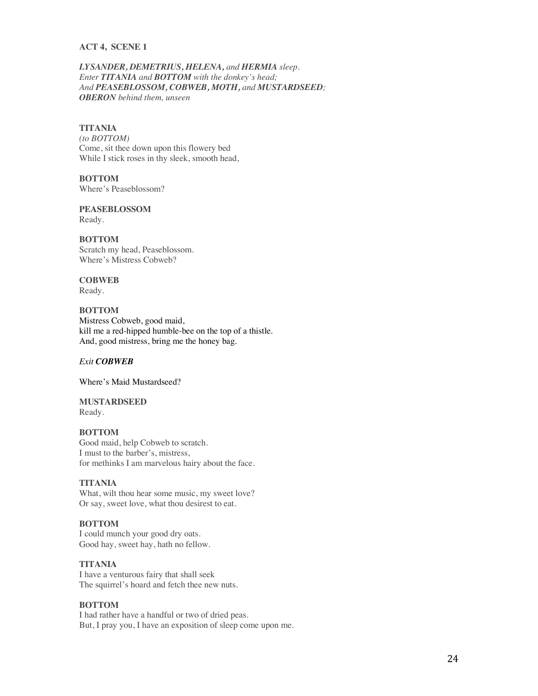### **ACT 4, SCENE 1**

*LYSANDER, DEMETRIUS, HELENA, and HERMIA sleep. Enter TITANIA and BOTTOM with the donkey's head; And PEASEBLOSSOM, COBWEB, MOTH, and MUSTARDSEED; OBERON behind them, unseen*

### **TITANIA**

*(to BOTTOM)* Come, sit thee down upon this flowery bed While I stick roses in thy sleek, smooth head,

**BOTTOM** Where's Peaseblossom?

**PEASEBLOSSOM** Ready.

**BOTTOM** Scratch my head, Peaseblossom. Where's Mistress Cobweb?

## **COBWEB**

Ready.

**BOTTOM** Mistress Cobweb, good maid, kill me a red-hipped humble-bee on the top of a thistle. And, good mistress, bring me the honey bag.

## *Exit COBWEB*

Where's Maid Mustardseed?

**MUSTARDSEED** Ready.

### **BOTTOM**

Good maid, help Cobweb to scratch. I must to the barber's, mistress, for methinks I am marvelous hairy about the face.

### **TITANIA**

What, wilt thou hear some music, my sweet love? Or say, sweet love, what thou desirest to eat.

### **BOTTOM**

I could munch your good dry oats. Good hay, sweet hay, hath no fellow.

## **TITANIA**

I have a venturous fairy that shall seek The squirrel's hoard and fetch thee new nuts.

### **BOTTOM**

I had rather have a handful or two of dried peas. But, I pray you, I have an exposition of sleep come upon me.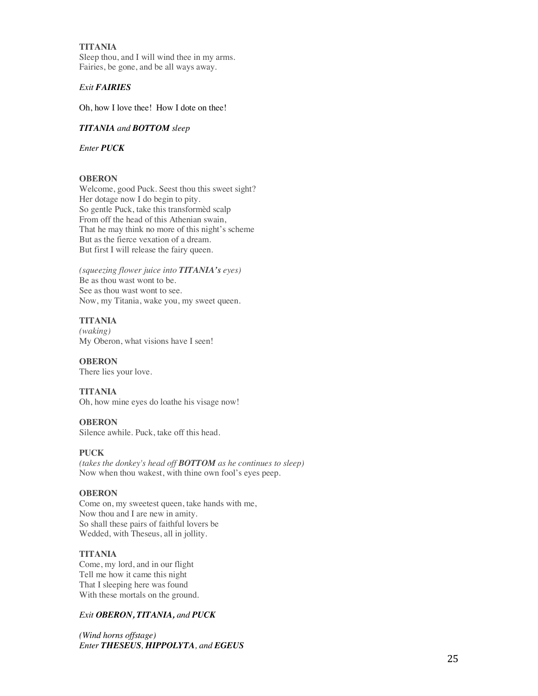### **TITANIA**

Sleep thou, and I will wind thee in my arms. Fairies, be gone, and be all ways away.

## *Exit FAIRIES*

Oh, how I love thee! How I dote on thee!

### *TITANIA and BOTTOM sleep*

*Enter PUCK*

### **OBERON**

Welcome, good Puck. Seest thou this sweet sight? Her dotage now I do begin to pity. So gentle Puck, take this transformèd scalp From off the head of this Athenian swain, That he may think no more of this night's scheme But as the fierce vexation of a dream. But first I will release the fairy queen.

*(squeezing flower juice into TITANIA's eyes)* Be as thou wast wont to be. See as thou wast wont to see. Now, my Titania, wake you, my sweet queen.

## **TITANIA**

*(waking)* My Oberon, what visions have I seen!

**OBERON** There lies your love.

### **TITANIA**

Oh, how mine eyes do loathe his visage now!

## **OBERON**

Silence awhile. Puck, take off this head.

### **PUCK**

*(takes the donkey's head off BOTTOM as he continues to sleep)* Now when thou wakest, with thine own fool's eyes peep.

### **OBERON**

Come on, my sweetest queen, take hands with me, Now thou and I are new in amity. So shall these pairs of faithful lovers be Wedded, with Theseus, all in jollity.

### **TITANIA**

Come, my lord, and in our flight Tell me how it came this night That I sleeping here was found With these mortals on the ground.

### *Exit OBERON, TITANIA, and PUCK*

*(Wind horns offstage) Enter THESEUS, HIPPOLYTA, and EGEUS*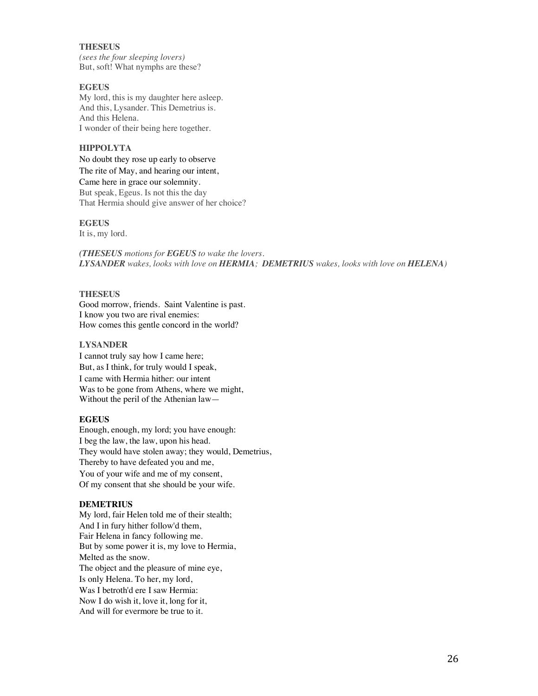### **THESEUS**

*(sees the four sleeping lovers)* But, soft! What nymphs are these?

## **EGEUS**

My lord, this is my daughter here asleep. And this, Lysander. This Demetrius is. And this Helena. I wonder of their being here together.

### **HIPPOLYTA**

No doubt they rose up early to observe The rite of May, and hearing our intent,

Came here in grace our solemnity. But speak, Egeus. Is not this the day That Hermia should give answer of her choice?

### **EGEUS**

It is, my lord.

*(THESEUS motions for EGEUS to wake the lovers. LYSANDER wakes, looks with love on HERMIA; DEMETRIUS wakes, looks with love on HELENA)*

### **THESEUS**

Good morrow, friends. Saint Valentine is past. I know you two are rival enemies: How comes this gentle concord in the world?

### **LYSANDER**

I cannot truly say how I came here; But, as I think, for truly would I speak, I came with Hermia hither: our intent Was to be gone from Athens, where we might, Without the peril of the Athenian law—

### **EGEUS**

Enough, enough, my lord; you have enough: I beg the law, the law, upon his head. They would have stolen away; they would, Demetrius, Thereby to have defeated you and me, You of your wife and me of my consent, Of my consent that she should be your wife.

### **DEMETRIUS**

My lord, fair Helen told me of their stealth; And I in fury hither follow'd them, Fair Helena in fancy following me. But by some power it is, my love to Hermia, Melted as the snow. The object and the pleasure of mine eye, Is only Helena. To her, my lord, Was I betroth'd ere I saw Hermia: Now I do wish it, love it, long for it, And will for evermore be true to it.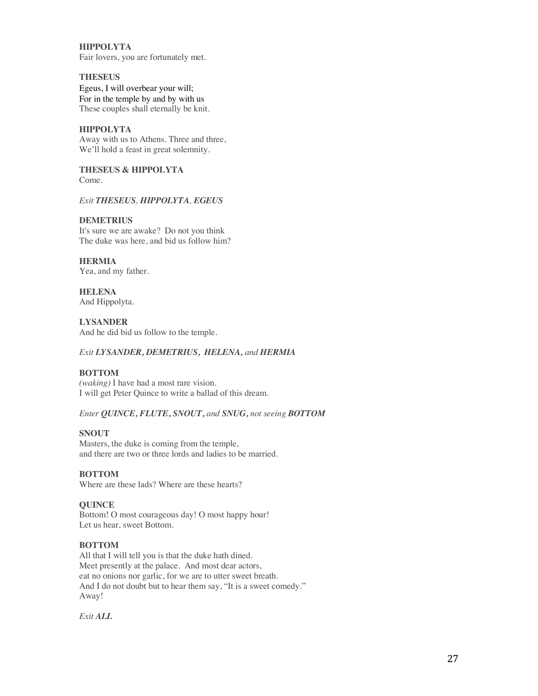**HIPPOLYTA** Fair lovers, you are fortunately met.

### **THESEUS**

Egeus, I will overbear your will; For in the temple by and by with us These couples shall eternally be knit.

## **HIPPOLYTA**

Away with us to Athens. Three and three, We'll hold a feast in great solemnity.

**THESEUS & HIPPOLYTA** Come.

### *Exit THESEUS, HIPPOLYTA, EGEUS*

### **DEMETRIUS**

It's sure we are awake? Do not you think The duke was here, and bid us follow him?

**HERMIA** Yea, and my father.

**HELENA** And Hippolyta.

**LYSANDER** And he did bid us follow to the temple.

## *Exit LYSANDER, DEMETRIUS, HELENA, and HERMIA*

## **BOTTOM**

*(waking)* I have had a most rare vision. I will get Peter Quince to write a ballad of this dream.

### *Enter QUINCE, FLUTE, SNOUT, and SNUG, not seeing BOTTOM*

### **SNOUT**

Masters, the duke is coming from the temple, and there are two or three lords and ladies to be married.

## **BOTTOM**

Where are these lads? Where are these hearts?

### **QUINCE**

Bottom! O most courageous day! O most happy hour! Let us hear, sweet Bottom.

### **BOTTOM**

All that I will tell you is that the duke hath dined. Meet presently at the palace. And most dear actors, eat no onions nor garlic, for we are to utter sweet breath. And I do not doubt but to hear them say, "It is a sweet comedy." Away!

*Exit ALL*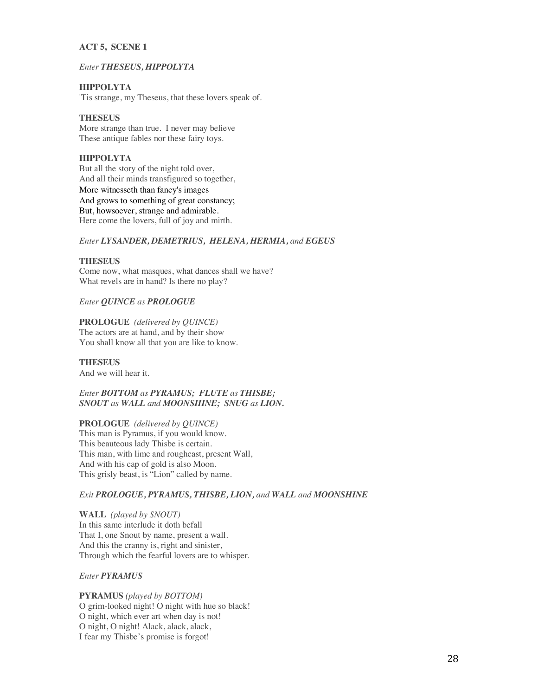### **ACT 5, SCENE 1**

### *Enter THESEUS, HIPPOLYTA*

## **HIPPOLYTA**

'Tis strange, my Theseus, that these lovers speak of.

## **THESEUS**

More strange than true. I never may believe These antique fables nor these fairy toys.

## **HIPPOLYTA**

But all the story of the night told over, And all their minds transfigured so together, More witnesseth than fancy's images And grows to something of great constancy; But, howsoever, strange and admirable. Here come the lovers, full of joy and mirth.

## *Enter LYSANDER, DEMETRIUS, HELENA, HERMIA, and EGEUS*

## **THESEUS**

Come now, what masques, what dances shall we have? What revels are in hand? Is there no play?

## *Enter QUINCE as PROLOGUE*

### **PROLOGUE** *(delivered by QUINCE)*

The actors are at hand, and by their show You shall know all that you are like to know.

## **THESEUS**

And we will hear it.

*Enter BOTTOM as PYRAMUS; FLUTE as THISBE; SNOUT as WALL and MOONSHINE; SNUG as LION.*

## **PROLOGUE** *(delivered by QUINCE)*

This man is Pyramus, if you would know. This beauteous lady Thisbe is certain. This man, with lime and roughcast, present Wall, And with his cap of gold is also Moon. This grisly beast, is "Lion" called by name.

### *Exit PROLOGUE, PYRAMUS, THISBE, LION, and WALL and MOONSHINE*

**WALL** *(played by SNOUT)* In this same interlude it doth befall That I, one Snout by name, present a wall. And this the cranny is, right and sinister, Through which the fearful lovers are to whisper.

### *Enter PYRAMUS*

**PYRAMUS** *(played by BOTTOM)* O grim-looked night! O night with hue so black! O night, which ever art when day is not! O night, O night! Alack, alack, alack, I fear my Thisbe's promise is forgot!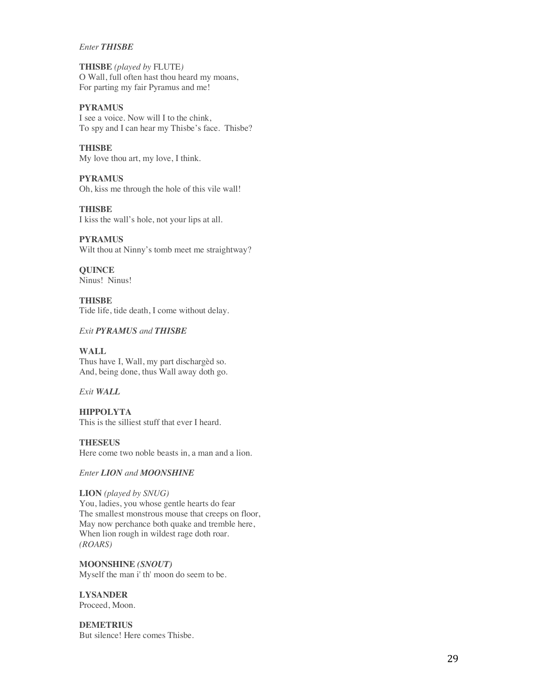### *Enter THISBE*

**THISBE** *(played by* FLUTE*)* O Wall, full often hast thou heard my moans, For parting my fair Pyramus and me!

## **PYRAMUS**

I see a voice. Now will I to the chink, To spy and I can hear my Thisbe's face. Thisbe?

## **THISBE**

My love thou art, my love, I think.

# **PYRAMUS**

Oh, kiss me through the hole of this vile wall!

### **THISBE** I kiss the wall's hole, not your lips at all.

**PYRAMUS** Wilt thou at Ninny's tomb meet me straightway?

**QUINCE** Ninus! Ninus!

**THISBE** Tide life, tide death, I come without delay.

## *Exit PYRAMUS and THISBE*

**WALL** Thus have I, Wall, my part dischargèd so. And, being done, thus Wall away doth go.

## *Exit WALL*

**HIPPOLYTA** This is the silliest stuff that ever I heard.

**THESEUS** Here come two noble beasts in, a man and a lion.

*Enter LION and MOONSHINE*

## **LION** *(played by SNUG)*

You, ladies, you whose gentle hearts do fear The smallest monstrous mouse that creeps on floor, May now perchance both quake and tremble here, When lion rough in wildest rage doth roar. *(ROARS)*

**MOONSHINE** *(SNOUT)* Myself the man i' th' moon do seem to be.

# **LYSANDER**

Proceed, Moon.

**DEMETRIUS** But silence! Here comes Thisbe.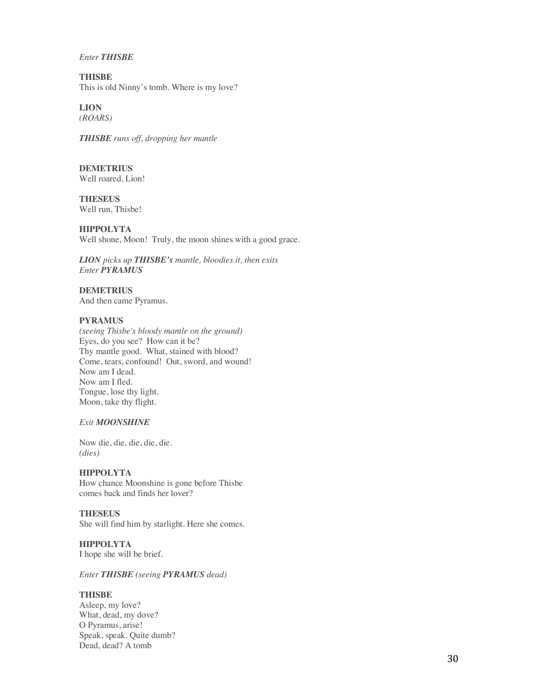### *Enter THISBE*

**THISBE** This is old Ninny's tomb. Where is my love?

**LION** *(ROARS)*

*THISBE runs off, dropping her mantle*

**DEMETRIUS** Well roared, Lion!

**THESEUS** Well run, Thisbe!

**HIPPOLYTA** Well shone, Moon! Truly, the moon shines with a good grace.

*LION picks up THISBE's mantle, bloodies it, then exits Enter PYRAMUS*

**DEMETRIUS** And then came Pyramus.

## **PYRAMUS**

*(seeing Thisbe's bloody mantle on the ground)* Eyes, do you see? How can it be? Thy mantle good. What, stained with blood? Come, tears, confound! Out, sword, and wound! Now am I dead. Now am I fled. Tongue, lose thy light. Moon, take thy flight.

*Exit MOONSHINE*

Now die, die, die, die, die. *(dies)*

**HIPPOLYTA** How chance Moonshine is gone before Thisbe comes back and finds her lover?

### **THESEUS**

She will find him by starlight. Here she comes.

**HIPPOLYTA** I hope she will be brief.

*Enter THISBE (seeing PYRAMUS dead)*

## **THISBE**

Asleep, my love? What, dead, my dove? O Pyramus, arise! Speak, speak. Quite dumb? Dead, dead? A tomb